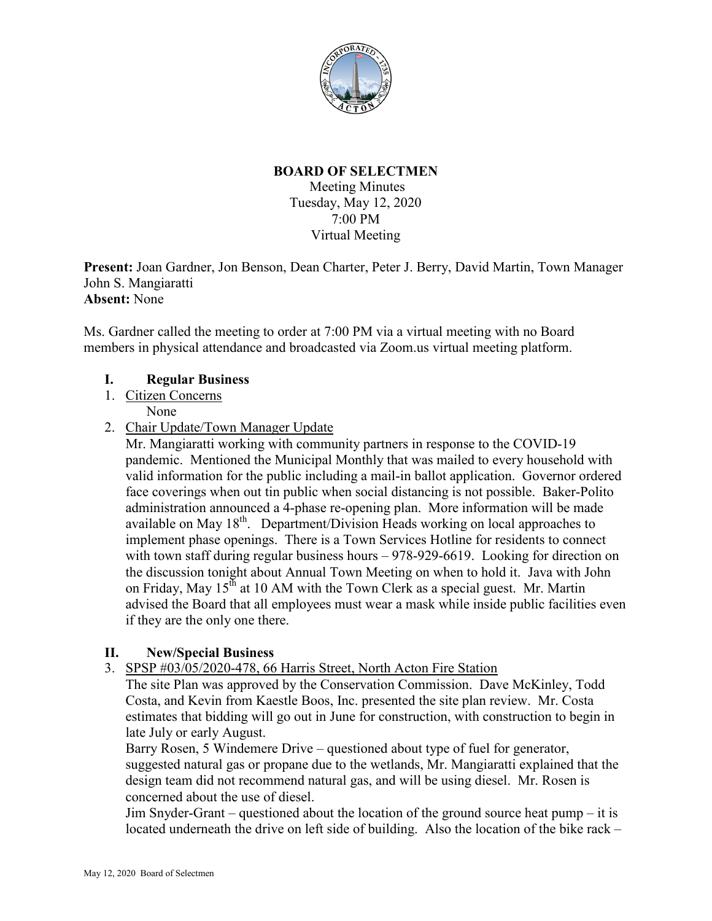

### **BOARD OF SELECTMEN**

Meeting Minutes Tuesday, May 12, 2020 7:00 PM Virtual Meeting

**Present:** Joan Gardner, Jon Benson, Dean Charter, Peter J. Berry, David Martin, Town Manager John S. Mangiaratti **Absent:** None

Ms. Gardner called the meeting to order at 7:00 PM via a virtual meeting with no Board members in physical attendance and broadcasted via Zoom.us virtual meeting platform.

## **I. Regular Business**

- 1. Citizen Concerns
	- None
- 2. Chair Update/Town Manager Update

Mr. Mangiaratti working with community partners in response to the COVID-19 pandemic. Mentioned the Municipal Monthly that was mailed to every household with valid information for the public including a mail-in ballot application. Governor ordered face coverings when out tin public when social distancing is not possible. Baker-Polito administration announced a 4-phase re-opening plan. More information will be made available on May  $18^{th}$ . Department/Division Heads working on local approaches to implement phase openings. There is a Town Services Hotline for residents to connect with town staff during regular business hours – 978-929-6619. Looking for direction on the discussion tonight about Annual Town Meeting on when to hold it. Java with John on Friday, May  $15^{th}$  at 10 AM with the Town Clerk as a special guest. Mr. Martin advised the Board that all employees must wear a mask while inside public facilities even if they are the only one there.

# **II. New/Special Business**

3. SPSP #03/05/2020-478, 66 Harris Street, North Acton Fire Station

The site Plan was approved by the Conservation Commission. Dave McKinley, Todd Costa, and Kevin from Kaestle Boos, Inc. presented the site plan review. Mr. Costa estimates that bidding will go out in June for construction, with construction to begin in late July or early August.

Barry Rosen, 5 Windemere Drive – questioned about type of fuel for generator, suggested natural gas or propane due to the wetlands, Mr. Mangiaratti explained that the design team did not recommend natural gas, and will be using diesel. Mr. Rosen is concerned about the use of diesel.

Jim Snyder-Grant – questioned about the location of the ground source heat pump – it is located underneath the drive on left side of building. Also the location of the bike rack –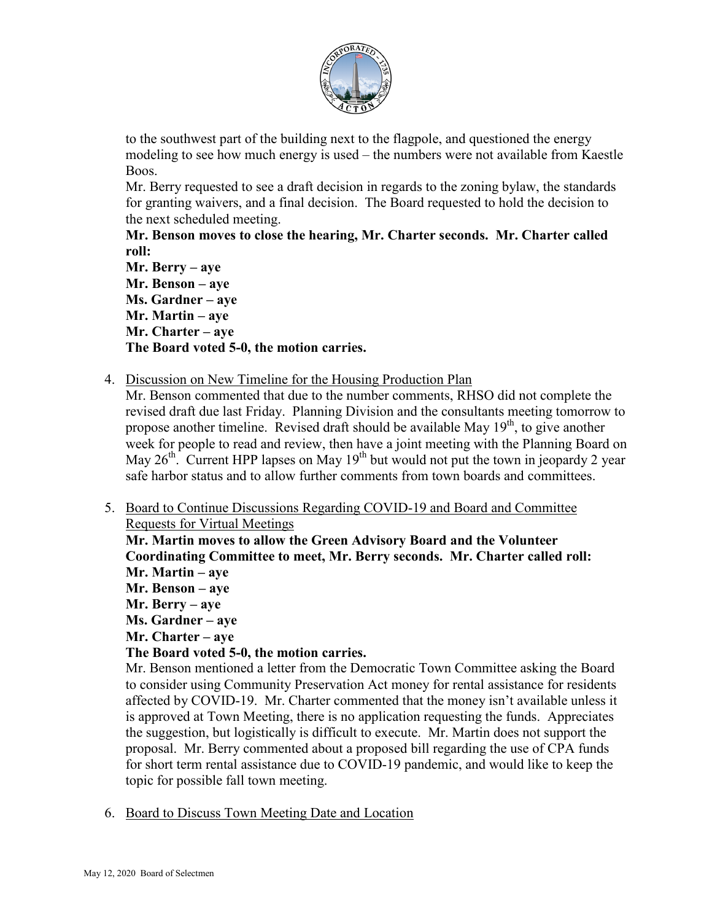

to the southwest part of the building next to the flagpole, and questioned the energy modeling to see how much energy is used – the numbers were not available from Kaestle Boos.

Mr. Berry requested to see a draft decision in regards to the zoning bylaw, the standards for granting waivers, and a final decision. The Board requested to hold the decision to the next scheduled meeting.

**Mr. Benson moves to close the hearing, Mr. Charter seconds. Mr. Charter called roll:**

**Mr. Berry – aye Mr. Benson – aye Ms. Gardner – aye Mr. Martin – aye Mr. Charter – aye The Board voted 5-0, the motion carries.**

4. Discussion on New Timeline for the Housing Production Plan

Mr. Benson commented that due to the number comments, RHSO did not complete the revised draft due last Friday. Planning Division and the consultants meeting tomorrow to propose another timeline. Revised draft should be available May  $19<sup>th</sup>$ , to give another week for people to read and review, then have a joint meeting with the Planning Board on May  $26<sup>th</sup>$ . Current HPP lapses on May 19<sup>th</sup> but would not put the town in jeopardy 2 year safe harbor status and to allow further comments from town boards and committees.

5. Board to Continue Discussions Regarding COVID-19 and Board and Committee Requests for Virtual Meetings

**Mr. Martin moves to allow the Green Advisory Board and the Volunteer Coordinating Committee to meet, Mr. Berry seconds. Mr. Charter called roll: Mr. Martin – aye**

**Mr. Benson – aye**

**Mr. Berry – aye**

**Ms. Gardner – aye**

**Mr. Charter – aye**

# **The Board voted 5-0, the motion carries.**

Mr. Benson mentioned a letter from the Democratic Town Committee asking the Board to consider using Community Preservation Act money for rental assistance for residents affected by COVID-19. Mr. Charter commented that the money isn't available unless it is approved at Town Meeting, there is no application requesting the funds. Appreciates the suggestion, but logistically is difficult to execute. Mr. Martin does not support the proposal. Mr. Berry commented about a proposed bill regarding the use of CPA funds for short term rental assistance due to COVID-19 pandemic, and would like to keep the topic for possible fall town meeting.

6. Board to Discuss Town Meeting Date and Location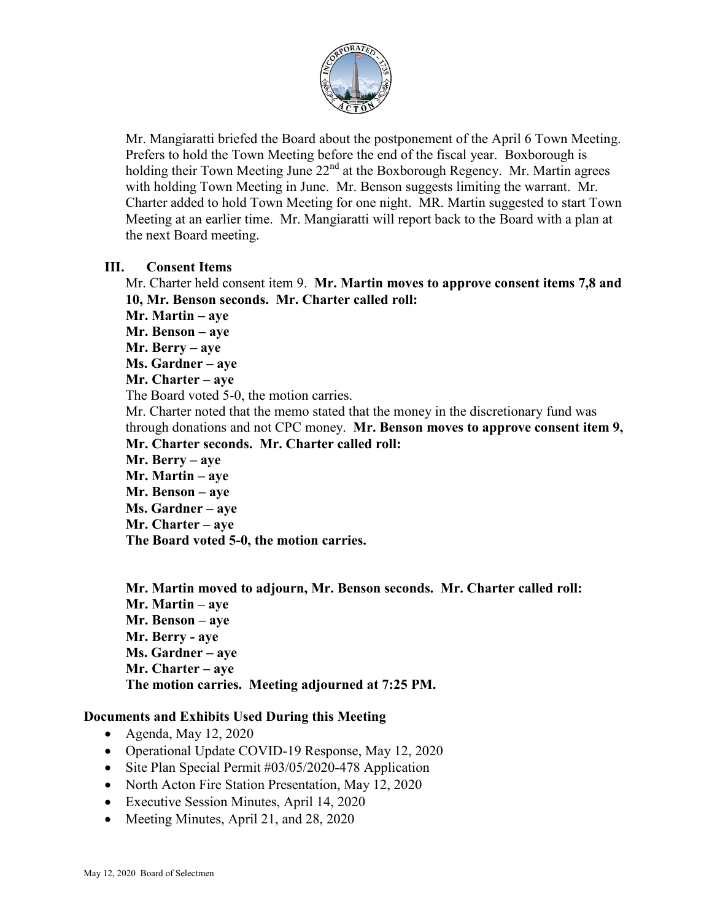

Mr. Mangiaratti briefed the Board about the postponement of the April 6 Town Meeting. Prefers to hold the Town Meeting before the end of the fiscal year. Boxborough is holding their Town Meeting June  $22<sup>nd</sup>$  at the Boxborough Regency. Mr. Martin agrees with holding Town Meeting in June. Mr. Benson suggests limiting the warrant. Mr. Charter added to hold Town Meeting for one night. MR. Martin suggested to start Town Meeting at an earlier time. Mr. Mangiaratti will report back to the Board with a plan at the next Board meeting.

#### **III. Consent Items**

Mr. Charter held consent item 9. **Mr. Martin moves to approve consent items 7,8 and 10, Mr. Benson seconds. Mr. Charter called roll: Mr. Martin – aye Mr. Benson – aye Mr. Berry – aye Ms. Gardner – aye Mr. Charter – aye** The Board voted 5-0, the motion carries. Mr. Charter noted that the memo stated that the money in the discretionary fund was through donations and not CPC money. **Mr. Benson moves to approve consent item 9, Mr. Charter seconds. Mr. Charter called roll: Mr. Berry – aye Mr. Martin – aye Mr. Benson – aye Ms. Gardner – aye Mr. Charter – aye The Board voted 5-0, the motion carries.**

**Mr. Martin moved to adjourn, Mr. Benson seconds. Mr. Charter called roll: Mr. Martin – aye Mr. Benson – aye Mr. Berry - aye Ms. Gardner – aye Mr. Charter – aye The motion carries. Meeting adjourned at 7:25 PM.**

#### **Documents and Exhibits Used During this Meeting**

- Agenda, May 12, 2020
- Operational Update COVID-19 Response, May 12, 2020
- Site Plan Special Permit #03/05/2020-478 Application
- North Acton Fire Station Presentation, May 12, 2020
- Executive Session Minutes, April 14, 2020
- Meeting Minutes, April 21, and 28, 2020